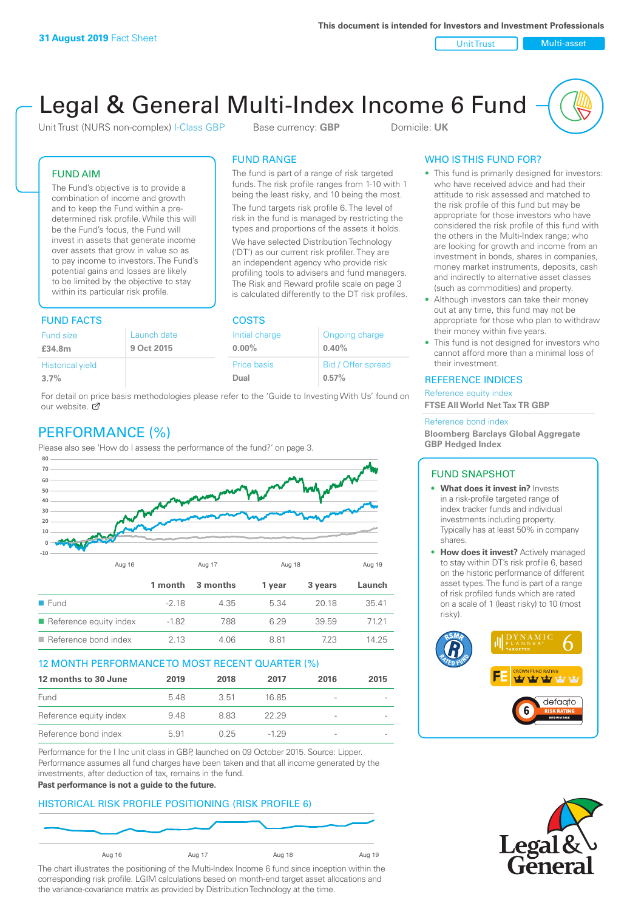Unit Trust Nulti-asset

# Legal & General Multi-Index Income 6 Fund

Unit Trust (NURS non-complex) I-Class GBP Base currency: **GBP** Domicile: UK

The fund is part of a range of risk targeted funds. The risk profile ranges from 1-10 with 1 being the least risky, and 10 being the most. The fund targets risk profile 6. The level of risk in the fund is managed by restricting the types and proportions of the assets it holds. We have selected Distribution Technology ('DT') as our current risk profiler. They are an independent agency who provide risk profiling tools to advisers and fund managers. The Risk and Reward profile scale on page 3 is calculated differently to the DT risk profiles.

FUND RANGE

## FUND AIM

The Fund's objective is to provide a combination of income and growth and to keep the Fund within a predetermined risk profile. While this will be the Fund's focus, the Fund will invest in assets that generate income over assets that grow in value so as to pay income to investors. The Fund's potential gains and losses are likely to be limited by the objective to stay within its particular risk profile.

## FUND FACTS COSTS

| .                       |             |                |                    |  |  |
|-------------------------|-------------|----------------|--------------------|--|--|
| <b>Fund size</b>        | Launch date | Initial charge | Ongoing charge     |  |  |
| £34.8m                  | 9 Oct 2015  | $0.00\%$       | 0.40%              |  |  |
| <b>Historical yield</b> |             | Price basis    | Bid / Offer spread |  |  |
| 3.7%                    |             | Dual           | 0.57%              |  |  |
|                         |             |                |                    |  |  |

For detail on price basis methodologies please refer to the 'Guide to Investing With Us' found on our website. Ø

# PERFORMANCE (%)

Please also see 'How do I assess the performance of the fund?' on page 3.



## 12 MONTH PERFORMANCE TO MOST RECENT QUARTER (%)

| 12 months to 30 June   | 2019 | 2018  | 2017   | 2016                     | 2015 |
|------------------------|------|-------|--------|--------------------------|------|
| Fund                   | 548  | -3.51 | 16.85  |                          |      |
| Reference equity index | 9.48 | 8.83  | 22.29  | -                        |      |
| Reference bond index   | 5.91 | 0.25  | $-129$ | $\overline{\phantom{a}}$ |      |

Performance for the I Inc unit class in GBP, launched on 09 October 2015. Source: Lipper. Performance assumes all fund charges have been taken and that all income generated by the investments, after deduction of tax, remains in the fund.

#### **Past performance is not a guide to the future.**

## HISTORICAL RISK PROFILE POSITIONING (RISK PROFILE 6)



The chart illustrates the positioning of the Multi-Index Income 6 fund since inception within the corresponding risk profile. LGIM calculations based on month-end target asset allocations and the variance-covariance matrix as provided by Distribution Technology at the time.

## WHO IS THIS FUND FOR?

- This fund is primarily designed for investors: who have received advice and had their attitude to risk assessed and matched to the risk profile of this fund but may be appropriate for those investors who have considered the risk profile of this fund with the others in the Multi-Index range; who are looking for growth and income from an investment in bonds, shares in companies, money market instruments, deposits, cash and indirectly to alternative asset classes (such as commodities) and property.
- Although investors can take their money out at any time, this fund may not be appropriate for those who plan to withdraw their money within five years.
- This fund is not designed for investors who cannot afford more than a minimal loss of their investment.

## REFERENCE INDICES

Reference equity index **FTSE All World Net Tax TR GBP**

#### Reference bond index

**Bloomberg Barclays Global Aggregate GBP Hedged Index**

## FUND SNAPSHOT

- **• What does it invest in?** Invests in a risk-profile targeted range of index tracker funds and individual investments including property. Typically has at least 50% in company shares.
- **• How does it invest?** Actively managed to stay within DT's risk profile 6, based on the historic performance of different asset types. The fund is part of a range of risk profiled funds which are rated on a scale of 1 (least risky) to 10 (most risky).



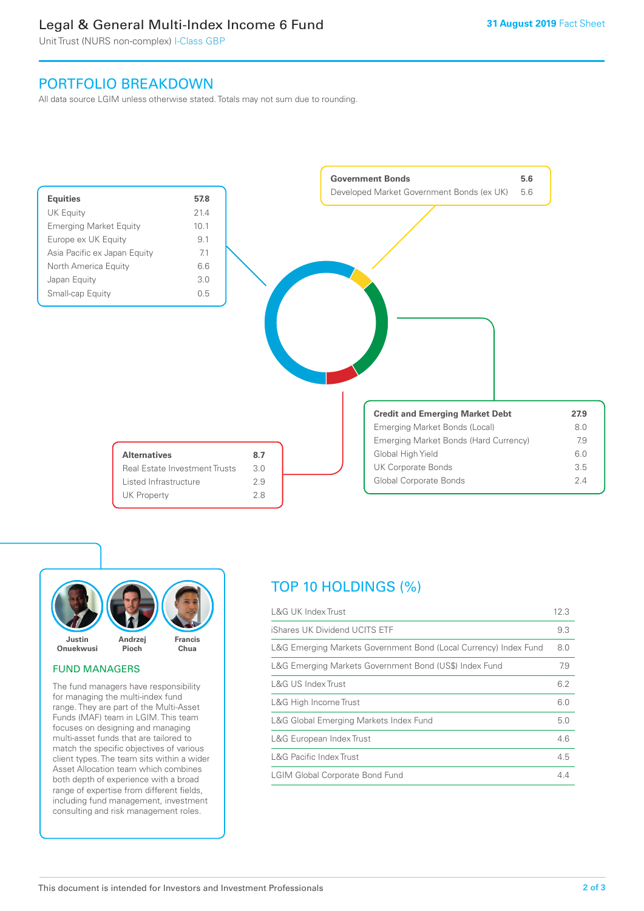# Legal & General Multi-Index Income 6 Fund

Unit Trust (NURS non-complex) I-Class GBP

# PORTFOLIO BREAKDOWN

All data source LGIM unless otherwise stated. Totals may not sum due to rounding.





## FUND MANAGERS

The fund managers have responsibility for managing the multi-index fund range. They are part of the Multi-Asset Funds (MAF) team in LGIM. This team focuses on designing and managing multi-asset funds that are tailored to match the specific objectives of various client types. The team sits within a wider Asset Allocation team which combines both depth of experience with a broad range of expertise from different fields, including fund management, investment consulting and risk management roles.

# TOP 10 HOLDINGS (%)

| <b>L&amp;G UK Index Trust</b>                                    | 12.3 |
|------------------------------------------------------------------|------|
| iShares UK Dividend UCITS ETF                                    | 9.3  |
| L&G Emerging Markets Government Bond (Local Currency) Index Fund | 8.0  |
| L&G Emerging Markets Government Bond (US\$) Index Fund           | 7.9  |
| <b>L&amp;G US Index Trust</b>                                    | 6.2  |
| L&G High Income Trust                                            | 6.0  |
| L&G Global Emerging Markets Index Fund                           | 5.0  |
| L&G European Index Trust                                         | 4.6  |
| <b>L&amp;G Pacific Index Trust</b>                               | 4.5  |
| <b>LGIM Global Corporate Bond Fund</b>                           | 4.4  |